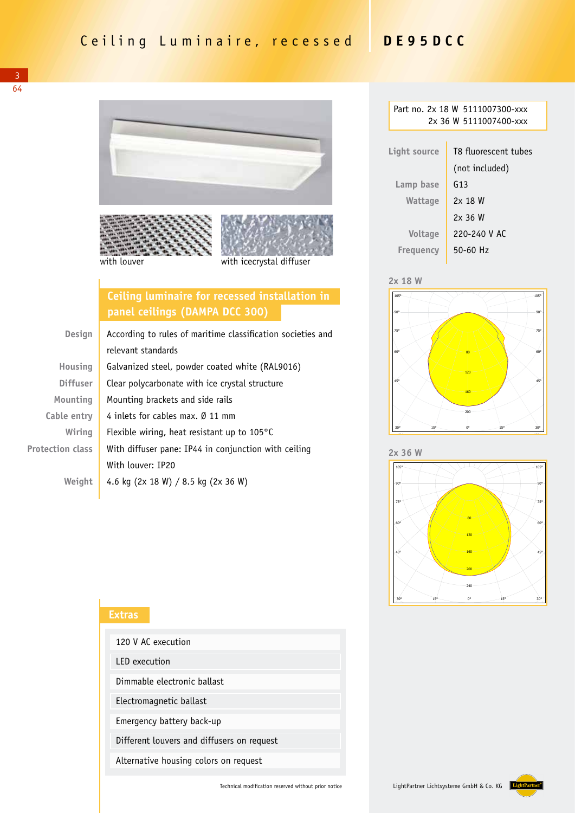3 64



### **Ceiling luminaire for recessed installation in panel ceilings (DAMPA DCC 300)**

| <b>Design</b>           | According to rules of maritime classification societies and |  |
|-------------------------|-------------------------------------------------------------|--|
|                         | relevant standards                                          |  |
| Housing                 | Galvanized steel, powder coated white (RAL9016)             |  |
| <b>Diffuser</b>         | Clear polycarbonate with ice crystal structure              |  |
| Mounting                | Mounting brackets and side rails                            |  |
| Cable entry             | 4 inlets for cables max. Ø 11 mm                            |  |
| Wiring                  | Flexible wiring, heat resistant up to $105^{\circ}$ C       |  |
| <b>Protection class</b> | With diffuser pane: IP44 in conjunction with ceiling        |  |
|                         | With louver: IP20                                           |  |
| Weiaht                  | 4.6 kg (2x 18 W) / 8.5 kg (2x 36 W)                         |  |

# **Extras** 120 V AC execution LED execution Dimmable electronic ballast Electromagnetic ballast Emergency battery back-up Different louvers and diffusers on request Alternative housing colors on request

| Part no. 2x 18 W 5111007300-xxx<br>2x 36 W 5111007400-xxx |                      |  |  |
|-----------------------------------------------------------|----------------------|--|--|
| Light source                                              | T8 fluorescent tubes |  |  |
|                                                           | (not included)       |  |  |
| Lamp base                                                 | G13                  |  |  |
| Wattage                                                   | 2x 18 W              |  |  |
|                                                           | 2x36W                |  |  |
| Voltage                                                   | 220-240 V AC         |  |  |
| Freguency                                                 | 50-60 Hz             |  |  |